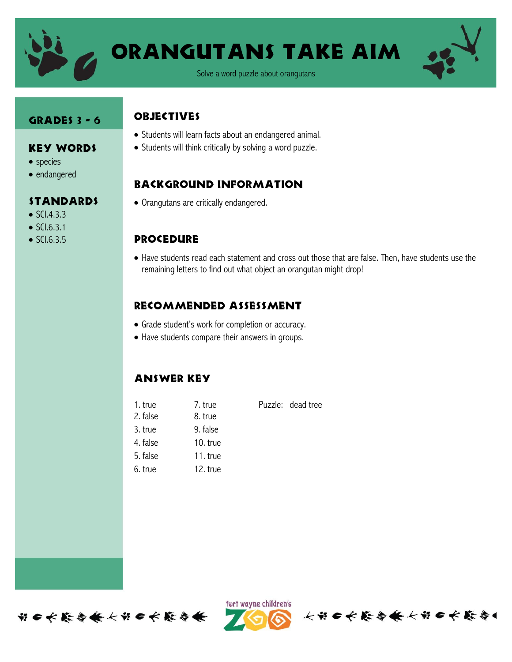

# Orangutans take aim

Solve a word puzzle about orangutans

#### Grades 3 - 6

Key Words

Standards

• species • endangered

 $\bullet$  SCI.4.3.3  $\bullet$  SCI.6.3.1  $\bullet$  SCI.6.3.5

#### **OBJECTIVES**

- Students will learn facts about an endangered animal.
	- Students will think critically by solving a word puzzle.

### Background information

Orangutans are critically endangered.

### **PROCEDURE**

 Have students read each statement and cross out those that are false. Then, have students use the remaining letters to find out what object an orangutan might drop!

### Recommended assessment

- Grade student's work for completion or accuracy.
- Have students compare their answers in groups.

## Answer key

| 1. true  | 7. true    | Puzzle: dead tree |
|----------|------------|-------------------|
| 2. false | 8. true    |                   |
| 3. true  | 9. false   |                   |
| 4. false | 10. $true$ |                   |
| 5. false | 11. true   |                   |
| 6. true  | 12. true   |                   |
|          |            |                   |





长节日长能与长长节日长能与